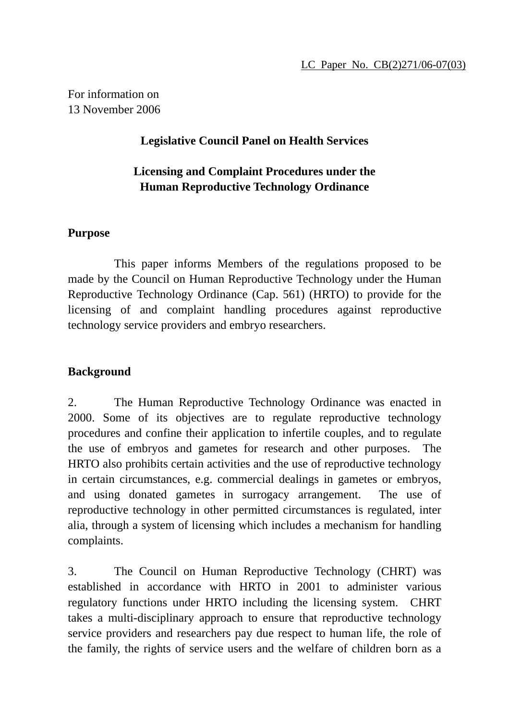For information on 13 November 2006

## **Legislative Council Panel on Health Services**

# **Licensing and Complaint Procedures under the Human Reproductive Technology Ordinance**

### **Purpose**

1 This paper informs Members of the regulations proposed to be made by the Council on Human Reproductive Technology under the Human Reproductive Technology Ordinance (Cap. 561) (HRTO) to provide for the licensing of and complaint handling procedures against reproductive technology service providers and embryo researchers.

## **Background**

2. The Human Reproductive Technology Ordinance was enacted in 2000. Some of its objectives are to regulate reproductive technology procedures and confine their application to infertile couples, and to regulate the use of embryos and gametes for research and other purposes. The HRTO also prohibits certain activities and the use of reproductive technology in certain circumstances, e.g. commercial dealings in gametes or embryos, and using donated gametes in surrogacy arrangement. The use of reproductive technology in other permitted circumstances is regulated, inter alia, through a system of licensing which includes a mechanism for handling complaints.

3. The Council on Human Reproductive Technology (CHRT) was established in accordance with HRTO in 2001 to administer various regulatory functions under HRTO including the licensing system. CHRT takes a multi-disciplinary approach to ensure that reproductive technology service providers and researchers pay due respect to human life, the role of the family, the rights of service users and the welfare of children born as a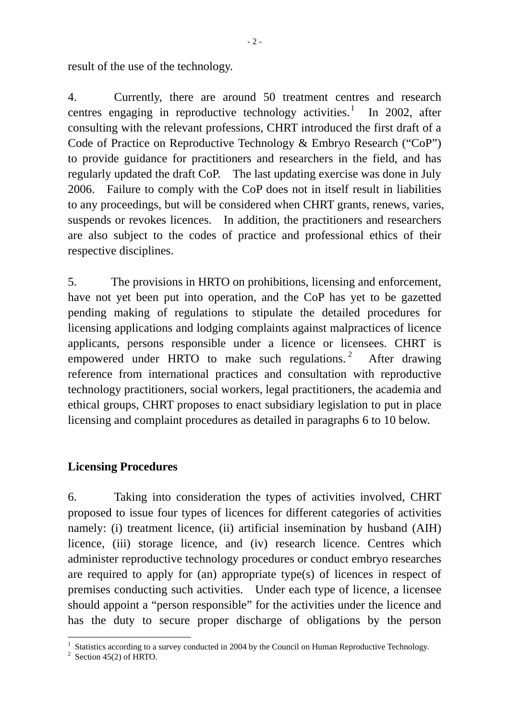result of the use of the technology.

4. Currently, there are around 50 treatment centres and research centres engaging in reproductive technology activities.<sup>1</sup> In 2002, after consulting with the relevant professions, CHRT introduced the first draft of a Code of Practice on Reproductive Technology & Embryo Research ("CoP") to provide guidance for practitioners and researchers in the field, and has regularly updated the draft CoP. The last updating exercise was done in July 2006. Failure to comply with the CoP does not in itself result in liabilities to any proceedings, but will be considered when CHRT grants, renews, varies, suspends or revokes licences. In addition, the practitioners and researchers are also subject to the codes of practice and professional ethics of their respective disciplines.

5. The provisions in HRTO on prohibitions, licensing and enforcement, have not yet been put into operation, and the CoP has yet to be gazetted pending making of regulations to stipulate the detailed procedures for licensing applications and lodging complaints against malpractices of licence applicants, persons responsible under a licence or licensees. CHRT is empowered under HRTO to make such regulations.<sup>2</sup> After drawing reference from international practices and consultation with reproductive technology practitioners, social workers, legal practitioners, the academia and ethical groups, CHRT proposes to enact subsidiary legislation to put in place licensing and complaint procedures as detailed in paragraphs 6 to 10 below.

#### **Licensing Procedures**

6. Taking into consideration the types of activities involved, CHRT proposed to issue four types of licences for different categories of activities namely: (i) treatment licence, (ii) artificial insemination by husband (AIH) licence, (iii) storage licence, and (iv) research licence. Centres which administer reproductive technology procedures or conduct embryo researches are required to apply for (an) appropriate type(s) of licences in respect of premises conducting such activities. Under each type of licence, a licensee should appoint a "person responsible" for the activities under the licence and has the duty to secure proper discharge of obligations by the person

 $\overline{a}$ <sup>1</sup> Statistics according to a survey conducted in 2004 by the Council on Human Reproductive Technology.<br><sup>2</sup> Section 45(2) of HPTO

 $2$  Section 45(2) of HRTO.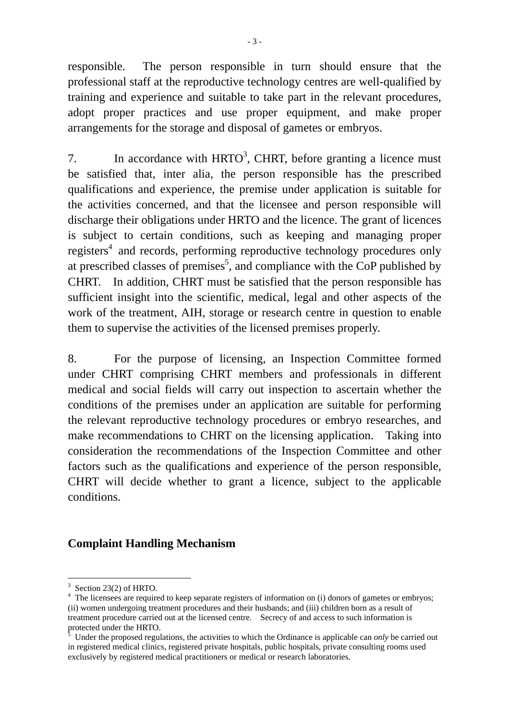responsible. The person responsible in turn should ensure that the professional staff at the reproductive technology centres are well-qualified by training and experience and suitable to take part in the relevant procedures, adopt proper practices and use proper equipment, and make proper arrangements for the storage and disposal of gametes or embryos.

7. In accordance with  $HRTO<sup>3</sup>$ , CHRT, before granting a licence must be satisfied that, inter alia, the person responsible has the prescribed qualifications and experience, the premise under application is suitable for the activities concerned, and that the licensee and person responsible will discharge their obligations under HRTO and the licence. The grant of licences is subject to certain conditions, such as keeping and managing proper registers<sup>4</sup> and records, performing reproductive technology procedures only at prescribed classes of premises<sup>5</sup>, and compliance with the CoP published by CHRT. In addition, CHRT must be satisfied that the person responsible has sufficient insight into the scientific, medical, legal and other aspects of the work of the treatment, AIH, storage or research centre in question to enable them to supervise the activities of the licensed premises properly.

8. For the purpose of licensing, an Inspection Committee formed under CHRT comprising CHRT members and professionals in different medical and social fields will carry out inspection to ascertain whether the conditions of the premises under an application are suitable for performing the relevant reproductive technology procedures or embryo researches, and make recommendations to CHRT on the licensing application. Taking into consideration the recommendations of the Inspection Committee and other factors such as the qualifications and experience of the person responsible, CHRT will decide whether to grant a licence, subject to the applicable conditions.

#### **Complaint Handling Mechanism**

 $\overline{a}$ 

 $3$  Section 23(2) of HRTO.

<sup>&</sup>lt;sup>4</sup> The licensees are required to keep separate registers of information on (i) donors of gametes or embryos; (ii) women undergoing treatment procedures and their husbands; and (iii) children born as a result of treatment procedure carried out at the licensed centre. Secrecy of and access to such information is protected under the HRTO.

Under the proposed regulations, the activities to which the Ordinance is applicable can *only* be carried out in registered medical clinics, registered private hospitals, public hospitals, private consulting rooms used exclusively by registered medical practitioners or medical or research laboratories.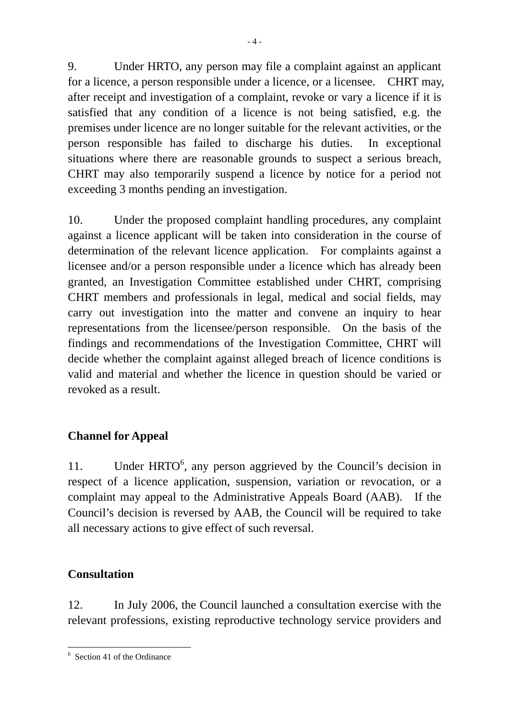9. Under HRTO, any person may file a complaint against an applicant for a licence, a person responsible under a licence, or a licensee. CHRT may, after receipt and investigation of a complaint, revoke or vary a licence if it is satisfied that any condition of a licence is not being satisfied, e.g. the premises under licence are no longer suitable for the relevant activities, or the person responsible has failed to discharge his duties. In exceptional situations where there are reasonable grounds to suspect a serious breach, CHRT may also temporarily suspend a licence by notice for a period not exceeding 3 months pending an investigation.

10. Under the proposed complaint handling procedures, any complaint against a licence applicant will be taken into consideration in the course of determination of the relevant licence application. For complaints against a licensee and/or a person responsible under a licence which has already been granted, an Investigation Committee established under CHRT, comprising CHRT members and professionals in legal, medical and social fields, may carry out investigation into the matter and convene an inquiry to hear representations from the licensee/person responsible. On the basis of the findings and recommendations of the Investigation Committee, CHRT will decide whether the complaint against alleged breach of licence conditions is valid and material and whether the licence in question should be varied or revoked as a result.

# **Channel for Appeal**

11. Under HRTO<sup>6</sup>, any person aggrieved by the Council's decision in respect of a licence application, suspension, variation or revocation, or a complaint may appeal to the Administrative Appeals Board (AAB). If the Council's decision is reversed by AAB, the Council will be required to take all necessary actions to give effect of such reversal.

## **Consultation**

12. In July 2006, the Council launched a consultation exercise with the relevant professions, existing reproductive technology service providers and

 $\overline{a}$ 6 Section 41 of the Ordinance